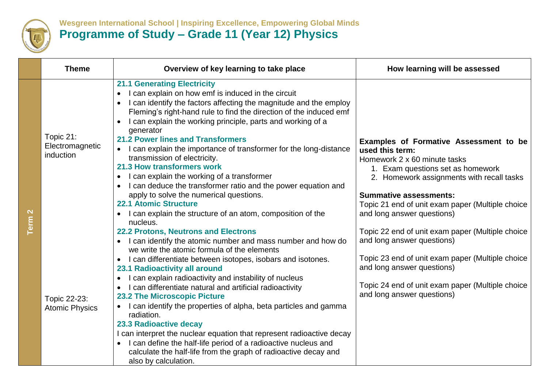

## **Wesgreen International School | Inspiring Excellence, Empowering Global Minds Programme of Study – Grade 11 (Year 12) Physics**

|                                  | <b>Theme</b>                              | Overview of key learning to take place                                                                                                                                                                                                                                                                                                                                                                                                                                                                                                                                                                                                                                                                                                                                                       | How learning will be assessed                                                                                                                                                                                                                                                                  |
|----------------------------------|-------------------------------------------|----------------------------------------------------------------------------------------------------------------------------------------------------------------------------------------------------------------------------------------------------------------------------------------------------------------------------------------------------------------------------------------------------------------------------------------------------------------------------------------------------------------------------------------------------------------------------------------------------------------------------------------------------------------------------------------------------------------------------------------------------------------------------------------------|------------------------------------------------------------------------------------------------------------------------------------------------------------------------------------------------------------------------------------------------------------------------------------------------|
| $\mathbf{\Omega}$<br><b>Term</b> | Topic 21:<br>Electromagnetic<br>induction | <b>21.1 Generating Electricity</b><br>I can explain on how emf is induced in the circuit<br>$\bullet$<br>I can identify the factors affecting the magnitude and the employ<br>Fleming's right-hand rule to find the direction of the induced emf<br>I can explain the working principle, parts and working of a<br>generator<br><b>21.2 Power lines and Transformers</b><br>I can explain the importance of transformer for the long-distance<br>transmission of electricity.<br>21.3 How transformers work<br>I can explain the working of a transformer<br>$\bullet$<br>I can deduce the transformer ratio and the power equation and<br>apply to solve the numerical questions.<br><b>22.1 Atomic Structure</b><br>I can explain the structure of an atom, composition of the<br>nucleus. | Examples of Formative Assessment to be<br>used this term:<br>Homework 2 x 60 minute tasks<br>1. Exam questions set as homework<br>2. Homework assignments with recall tasks<br><b>Summative assessments:</b><br>Topic 21 end of unit exam paper (Multiple choice<br>and long answer questions) |
|                                  | Topic 22-23:<br><b>Atomic Physics</b>     | <b>22.2 Protons, Neutrons and Electrons</b><br>I can identify the atomic number and mass number and how do<br>we write the atomic formula of the elements<br>I can differentiate between isotopes, isobars and isotones.<br>$\bullet$<br>23.1 Radioactivity all around<br>I can explain radioactivity and instability of nucleus<br>I can differentiate natural and artificial radioactivity<br><b>23.2 The Microscopic Picture</b><br>I can identify the properties of alpha, beta particles and gamma<br>radiation.<br>23.3 Radioactive decay<br>I can interpret the nuclear equation that represent radioactive decay<br>• I can define the half-life period of a radioactive nucleus and<br>calculate the half-life from the graph of radioactive decay and<br>also by calculation.      | Topic 22 end of unit exam paper (Multiple choice<br>and long answer questions)<br>Topic 23 end of unit exam paper (Multiple choice<br>and long answer questions)<br>Topic 24 end of unit exam paper (Multiple choice<br>and long answer questions)                                             |